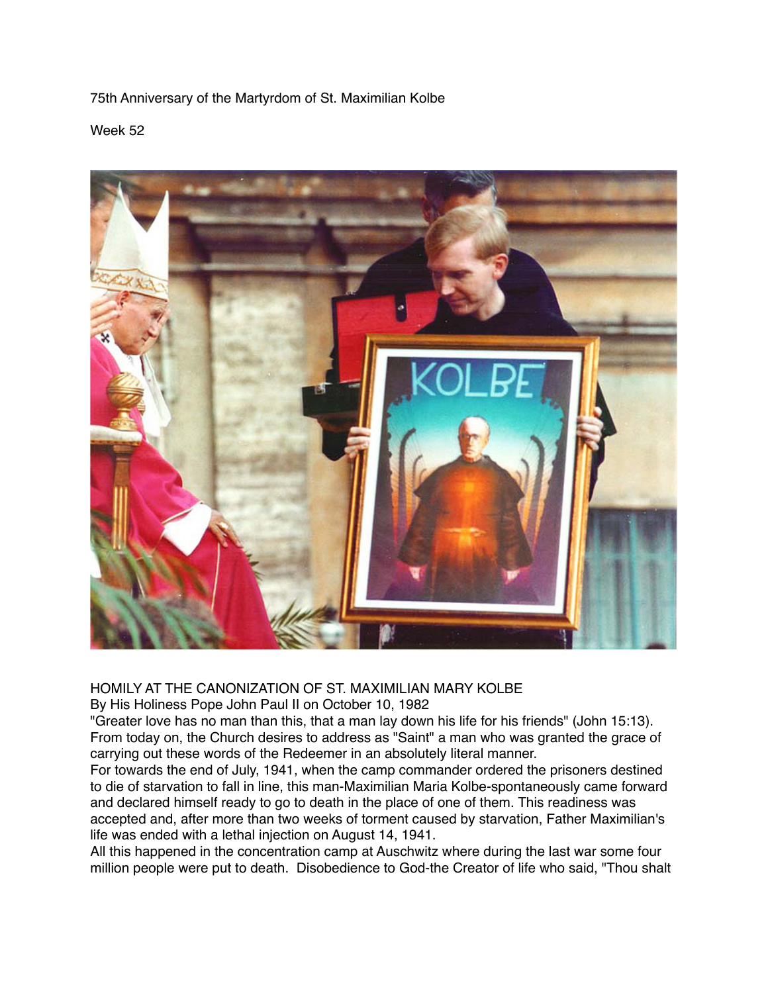75th Anniversary of the Martyrdom of St. Maximilian Kolbe

Week 52



## HOMILY AT THE CANONIZATION OF ST. MAXIMILIAN MARY KOLBE

By His Holiness Pope John Paul II on October 10, 1982

"Greater love has no man than this, that a man lay down his life for his friends" (John 15:13). From today on, the Church desires to address as "Saint" a man who was granted the grace of carrying out these words of the Redeemer in an absolutely literal manner.

For towards the end of July, 1941, when the camp commander ordered the prisoners destined to die of starvation to fall in line, this man-Maximilian Maria Kolbe-spontaneously came forward and declared himself ready to go to death in the place of one of them. This readiness was accepted and, after more than two weeks of torment caused by starvation, Father Maximilian's life was ended with a lethal injection on August 14, 1941.

All this happened in the concentration camp at Auschwitz where during the last war some four million people were put to death. Disobedience to God-the Creator of life who said, "Thou shalt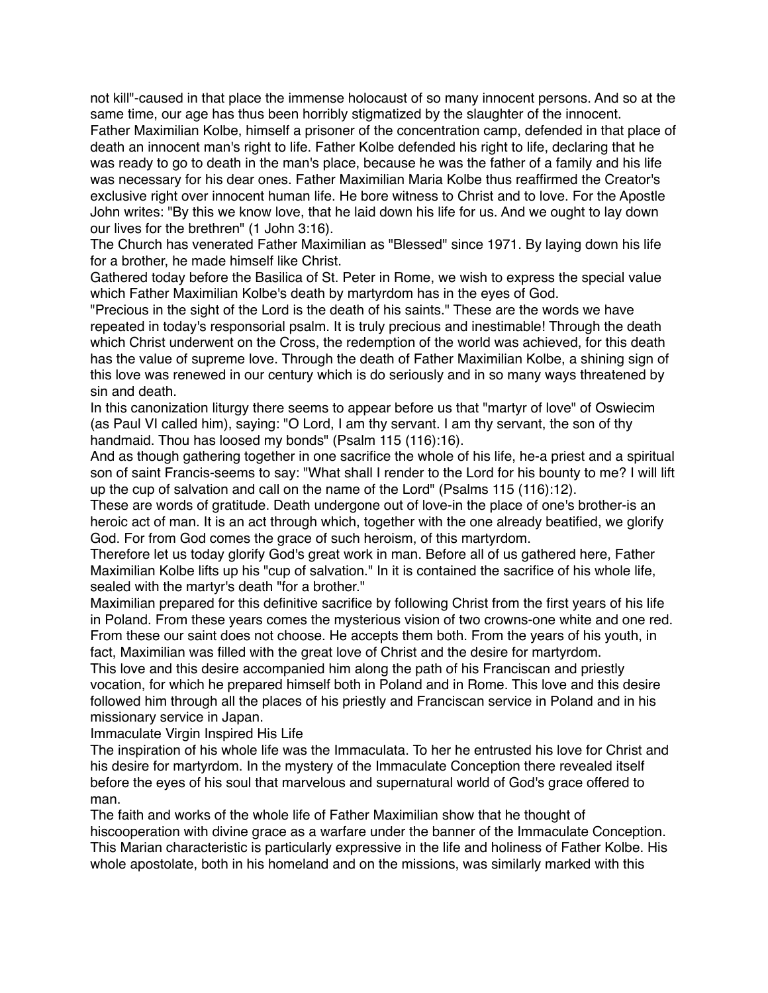not kill"-caused in that place the immense holocaust of so many innocent persons. And so at the same time, our age has thus been horribly stigmatized by the slaughter of the innocent. Father Maximilian Kolbe, himself a prisoner of the concentration camp, defended in that place of death an innocent man's right to life. Father Kolbe defended his right to life, declaring that he was ready to go to death in the man's place, because he was the father of a family and his life was necessary for his dear ones. Father Maximilian Maria Kolbe thus reaffirmed the Creator's exclusive right over innocent human life. He bore witness to Christ and to love. For the Apostle John writes: "By this we know love, that he laid down his life for us. And we ought to lay down our lives for the brethren" (1 John 3:16).

The Church has venerated Father Maximilian as "Blessed" since 1971. By laying down his life for a brother, he made himself like Christ.

Gathered today before the Basilica of St. Peter in Rome, we wish to express the special value which Father Maximilian Kolbe's death by martyrdom has in the eyes of God.

"Precious in the sight of the Lord is the death of his saints." These are the words we have repeated in today's responsorial psalm. It is truly precious and inestimable! Through the death which Christ underwent on the Cross, the redemption of the world was achieved, for this death has the value of supreme love. Through the death of Father Maximilian Kolbe, a shining sign of this love was renewed in our century which is do seriously and in so many ways threatened by sin and death.

In this canonization liturgy there seems to appear before us that "martyr of love" of Oswiecim (as Paul VI called him), saying: "O Lord, I am thy servant. I am thy servant, the son of thy handmaid. Thou has loosed my bonds" (Psalm 115 (116):16).

And as though gathering together in one sacrifice the whole of his life, he-a priest and a spiritual son of saint Francis-seems to say: "What shall I render to the Lord for his bounty to me? I will lift up the cup of salvation and call on the name of the Lord" (Psalms 115 (116):12).

These are words of gratitude. Death undergone out of love-in the place of one's brother-is an heroic act of man. It is an act through which, together with the one already beatified, we glorify God. For from God comes the grace of such heroism, of this martyrdom.

Therefore let us today glorify God's great work in man. Before all of us gathered here, Father Maximilian Kolbe lifts up his "cup of salvation." In it is contained the sacrifice of his whole life, sealed with the martyr's death "for a brother."

Maximilian prepared for this definitive sacrifice by following Christ from the first years of his life in Poland. From these years comes the mysterious vision of two crowns-one white and one red. From these our saint does not choose. He accepts them both. From the years of his youth, in fact, Maximilian was filled with the great love of Christ and the desire for martyrdom.

This love and this desire accompanied him along the path of his Franciscan and priestly vocation, for which he prepared himself both in Poland and in Rome. This love and this desire followed him through all the places of his priestly and Franciscan service in Poland and in his missionary service in Japan.

Immaculate Virgin Inspired His Life

The inspiration of his whole life was the Immaculata. To her he entrusted his love for Christ and his desire for martyrdom. In the mystery of the Immaculate Conception there revealed itself before the eyes of his soul that marvelous and supernatural world of God's grace offered to man.

The faith and works of the whole life of Father Maximilian show that he thought of hiscooperation with divine grace as a warfare under the banner of the Immaculate Conception. This Marian characteristic is particularly expressive in the life and holiness of Father Kolbe. His whole apostolate, both in his homeland and on the missions, was similarly marked with this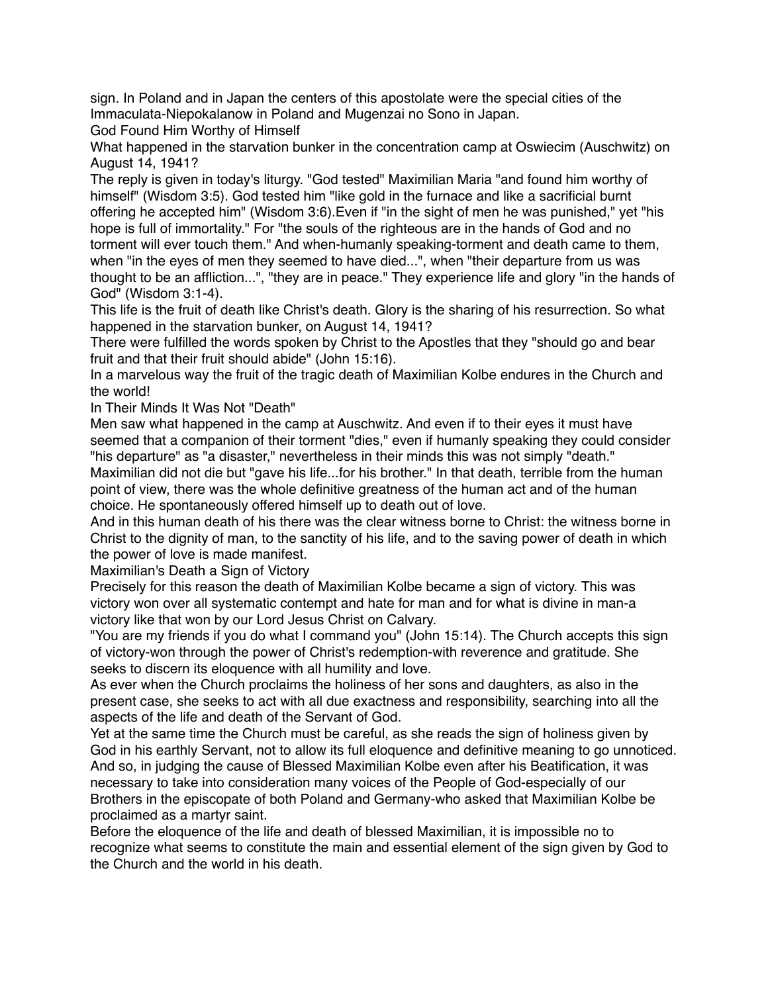sign. In Poland and in Japan the centers of this apostolate were the special cities of the Immaculata-Niepokalanow in Poland and Mugenzai no Sono in Japan.

God Found Him Worthy of Himself

What happened in the starvation bunker in the concentration camp at Oswiecim (Auschwitz) on August 14, 1941?

The reply is given in today's liturgy. "God tested" Maximilian Maria "and found him worthy of himself" (Wisdom 3:5). God tested him "like gold in the furnace and like a sacrificial burnt offering he accepted him" (Wisdom 3:6).Even if "in the sight of men he was punished," yet "his hope is full of immortality." For "the souls of the righteous are in the hands of God and no torment will ever touch them." And when-humanly speaking-torment and death came to them, when "in the eyes of men they seemed to have died...", when "their departure from us was thought to be an affliction...", "they are in peace." They experience life and glory "in the hands of God" (Wisdom 3:1-4).

This life is the fruit of death like Christ's death. Glory is the sharing of his resurrection. So what happened in the starvation bunker, on August 14, 1941?

There were fulfilled the words spoken by Christ to the Apostles that they "should go and bear fruit and that their fruit should abide" (John 15:16).

In a marvelous way the fruit of the tragic death of Maximilian Kolbe endures in the Church and the world!

In Their Minds It Was Not "Death"

Men saw what happened in the camp at Auschwitz. And even if to their eyes it must have seemed that a companion of their torment "dies," even if humanly speaking they could consider "his departure" as "a disaster," nevertheless in their minds this was not simply "death." Maximilian did not die but "gave his life...for his brother." In that death, terrible from the human point of view, there was the whole definitive greatness of the human act and of the human choice. He spontaneously offered himself up to death out of love.

And in this human death of his there was the clear witness borne to Christ: the witness borne in Christ to the dignity of man, to the sanctity of his life, and to the saving power of death in which the power of love is made manifest.

Maximilian's Death a Sign of Victory

Precisely for this reason the death of Maximilian Kolbe became a sign of victory. This was victory won over all systematic contempt and hate for man and for what is divine in man-a victory like that won by our Lord Jesus Christ on Calvary.

"You are my friends if you do what I command you" (John 15:14). The Church accepts this sign of victory-won through the power of Christ's redemption-with reverence and gratitude. She seeks to discern its eloquence with all humility and love.

As ever when the Church proclaims the holiness of her sons and daughters, as also in the present case, she seeks to act with all due exactness and responsibility, searching into all the aspects of the life and death of the Servant of God.

Yet at the same time the Church must be careful, as she reads the sign of holiness given by God in his earthly Servant, not to allow its full eloquence and definitive meaning to go unnoticed. And so, in judging the cause of Blessed Maximilian Kolbe even after his Beatification, it was necessary to take into consideration many voices of the People of God-especially of our Brothers in the episcopate of both Poland and Germany-who asked that Maximilian Kolbe be proclaimed as a martyr saint.

Before the eloquence of the life and death of blessed Maximilian, it is impossible no to recognize what seems to constitute the main and essential element of the sign given by God to the Church and the world in his death.